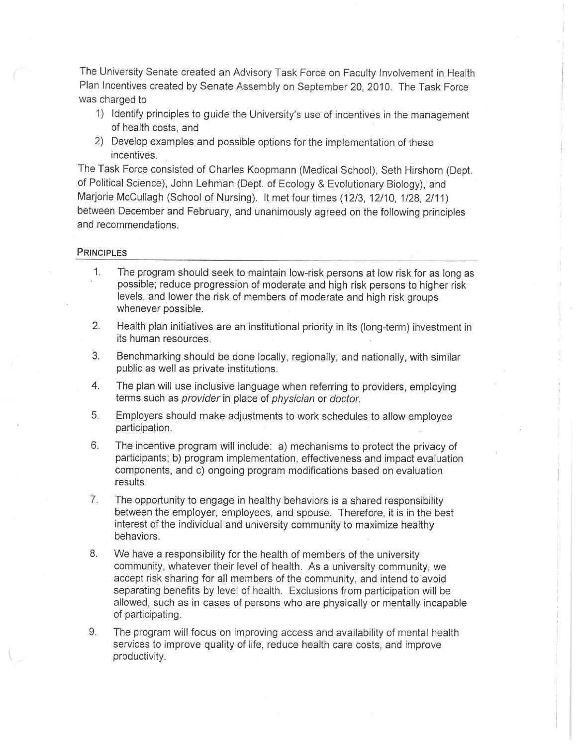The University Senate created an Advisory Task Force on Faculty Involvement in Health Plan Incentives created by Senate Assembly on September 20, 2010. The Task Force was charged to

- 1) Identify principles to guide the University's use of incentives in the management of health costs, and
- 2) Develop examples and possible options for the implementation of these incentives.

The Task Force consisted of Charles Koopmann (Medical School), Seth Hirshorn (Dept. of Political Science), John Lehman (Dept. of Ecology & Evolutionary Biology), and Marjorie McCullagh (School of Nursing). It met four times (12/3, 12/10, 1/28, 2/11) between December and February, and unanimously agreed on the following principles and recommendations.

## **PRINCIPLES**

- 1. The program should seek to maintain low-risk persons at low risk for as long as possible; reduce progression of moderate and high risk persons to higher risk levels, and lower the risk of members of moderate and high risk groups whenever possible.
- 2. Health plan initiatives are an institutional priority in its (long-term) investment in its human resources.
- 3. Benchmarking should be done locally, regionally, and nationally, with similar public as well as private institutions.
- 4. The plan will use inclusive language when referring to providers, employing terms such as provider in place of physician or doctor.
- 5. Employers should make adjustments to work schedules to allow employee participation.
- 6. The incentive program will include: a) mechanisms to protect the privacy of participants; b) program implementation, effectiveness and impact evaluation components, and c) ongoing program modifications based on evaluation results.
- 7. The opportunity to engage in healthy behaviors is a shared responsibility between the employer, employees, and spouse. Therefore, it is in the best interest of the individual and university community to maximize healthy behaviors.
- 8. We have a responsibility for the health of members of the university community, whatever their level of health. As a university community, we accept risk sharing for all members of the community, and intend to avoid separating benefits by level of health. Exclusions from participation will be allowed, such as in cases of persons who are physically or mentally incapable of participating.
- 9. The program will focus on improving access and availability of mental health services to improve quality of life, reduce health care costs, and improve productivity.